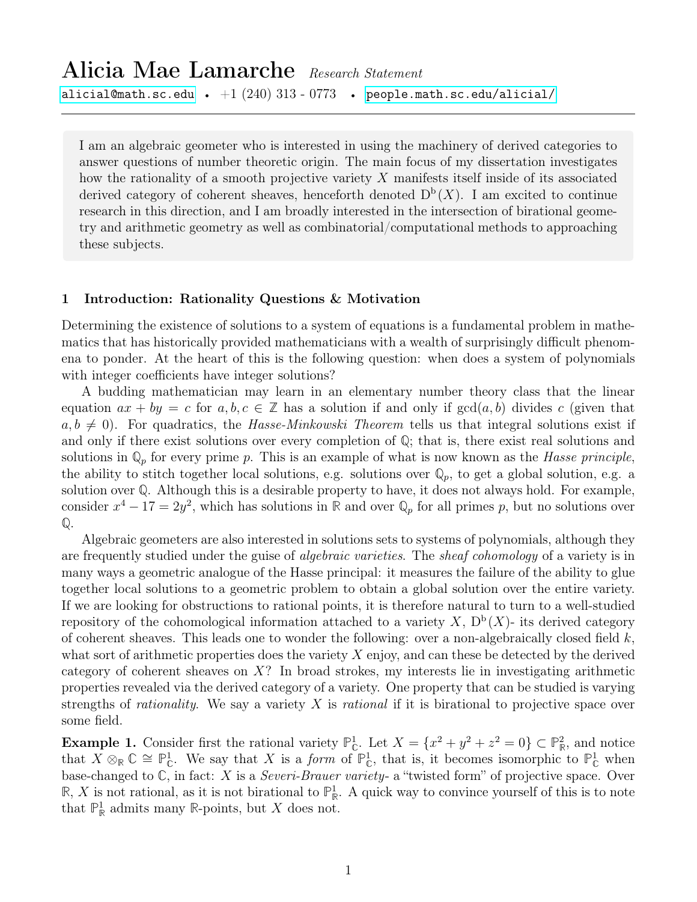# Alicia Mae Lamarche Research Statement [alicial@math.sc.edu](mailto:alicial@math.sc.edu) •  $+1~(240)~313$  -  $0773$  • [people.math.sc.edu/alicial/](http://people.math.sc.edu/alicial)

I am an algebraic geometer who is interested in using the machinery of derived categories to answer questions of number theoretic origin. The main focus of my dissertation investigates how the rationality of a smooth projective variety X manifests itself inside of its associated derived category of coherent sheaves, henceforth denoted  $D^b(X)$ . I am excited to continue research in this direction, and I am broadly interested in the intersection of birational geometry and arithmetic geometry as well as combinatorial/computational methods to approaching these subjects.

## 1 Introduction: Rationality Questions & Motivation

Determining the existence of solutions to a system of equations is a fundamental problem in mathematics that has historically provided mathematicians with a wealth of surprisingly difficult phenomena to ponder. At the heart of this is the following question: when does a system of polynomials with integer coefficients have integer solutions?

A budding mathematician may learn in an elementary number theory class that the linear equation  $ax + by = c$  for  $a, b, c \in \mathbb{Z}$  has a solution if and only if  $gcd(a, b)$  divides c (given that  $a, b \neq 0$ . For quadratics, the Hasse-Minkowski Theorem tells us that integral solutions exist if and only if there exist solutions over every completion of **Q**; that is, there exist real solutions and solutions in  $\mathbb{Q}_p$  for every prime p. This is an example of what is now known as the *Hasse principle*, the ability to stitch together local solutions, e.g. solutions over  $\mathbb{Q}_p$ , to get a global solution, e.g. a solution over **Q**. Although this is a desirable property to have, it does not always hold. For example, consider  $x^4 - 17 = 2y^2$ , which has solutions in **R** and over  $\mathbb{Q}_p$  for all primes p, but no solutions over **Q**.

Algebraic geometers are also interested in solutions sets to systems of polynomials, although they are frequently studied under the guise of *algebraic varieties*. The *sheaf cohomology* of a variety is in many ways a geometric analogue of the Hasse principal: it measures the failure of the ability to glue together local solutions to a geometric problem to obtain a global solution over the entire variety. If we are looking for obstructions to rational points, it is therefore natural to turn to a well-studied repository of the cohomological information attached to a variety  $X, D^b(X)$ - its derived category of coherent sheaves. This leads one to wonder the following: over a non-algebraically closed field  $k$ , what sort of arithmetic properties does the variety  $X$  enjoy, and can these be detected by the derived category of coherent sheaves on X? In broad strokes, my interests lie in investigating arithmetic properties revealed via the derived category of a variety. One property that can be studied is varying strengths of *rationality*. We say a variety X is *rational* if it is birational to projective space over some field.

**Example 1.** Consider first the rational variety  $\mathbb{P}_{\mathbb{C}}^1$ . Let  $X = \{x^2 + y^2 + z^2 = 0\} \subset \mathbb{P}_{\mathbb{R}}^2$ , and notice that  $X \otimes_{\mathbb{R}} \mathbb{C} \cong \mathbb{P}_{\mathbb{C}}^1$ . We say that X is a form of  $\mathbb{P}_{\mathbb{C}}^1$ , that is, it becomes isomorphic to  $\mathbb{P}_{\mathbb{C}}^1$  when base-changed to **C**, in fact: X is a Severi-Brauer variety- a "twisted form" of projective space. Over  $\mathbb{R}, X$  is not rational, as it is not birational to  $\mathbb{P}^1_{\mathbb{R}}$ . A quick way to convince yourself of this is to note that  $\mathbb{P}^1_{\mathbb{R}}$  admits many  $\mathbb{R}$ -points, but X does not.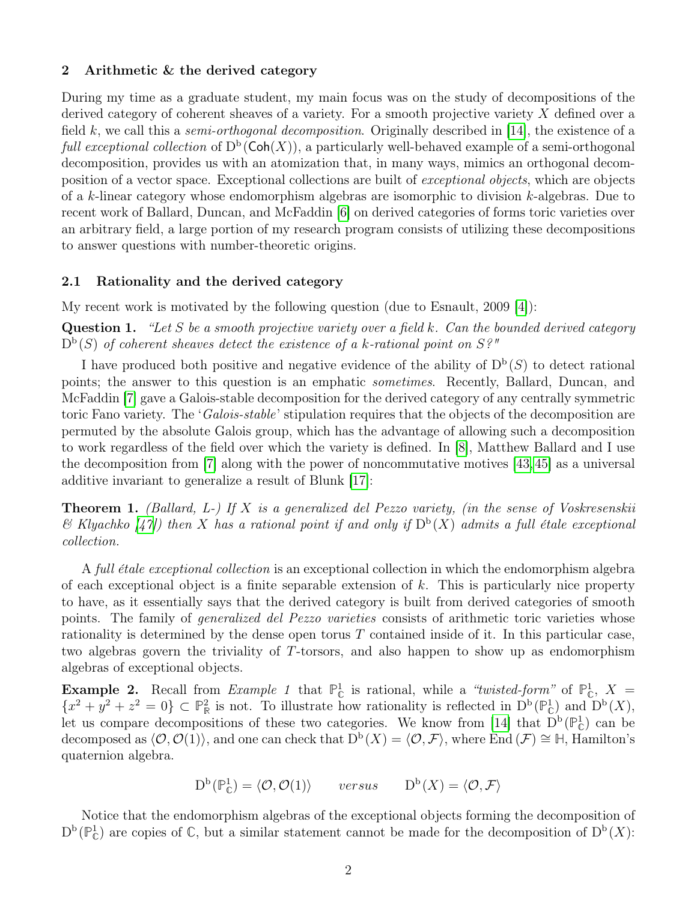## 2 Arithmetic & the derived category

During my time as a graduate student, my main focus was on the study of decompositions of the derived category of coherent sheaves of a variety. For a smooth projective variety X defined over a field k, we call this a *semi-orthogonal decomposition*. Originally described in [\[14\]](#page-5-0), the existence of a full exceptional collection of  $D^b(\text{Coh}(X))$ , a particularly well-behaved example of a semi-orthogonal decomposition, provides us with an atomization that, in many ways, mimics an orthogonal decomposition of a vector space. Exceptional collections are built of exceptional objects, which are objects of a k-linear category whose endomorphism algebras are isomorphic to division k-algebras. Due to recent work of Ballard, Duncan, and McFaddin [\[6\]](#page-5-1) on derived categories of forms toric varieties over an arbitrary field, a large portion of my research program consists of utilizing these decompositions to answer questions with number-theoretic origins.

## 2.1 Rationality and the derived category

My recent work is motivated by the following question (due to Esnault, 2009 [\[4\]](#page-5-2)):

**Question 1.** "Let S be a smooth projective variety over a field k. Can the bounded derived category  $D<sup>b</sup>(S)$  of coherent sheaves detect the existence of a k-rational point on S?"

I have produced both positive and negative evidence of the ability of  $D^b(S)$  to detect rational points; the answer to this question is an emphatic sometimes. Recently, Ballard, Duncan, and McFaddin [\[7\]](#page-5-3) gave a Galois-stable decomposition for the derived category of any centrally symmetric toric Fano variety. The '*Galois-stable*' stipulation requires that the objects of the decomposition are permuted by the absolute Galois group, which has the advantage of allowing such a decomposition to work regardless of the field over which the variety is defined. In [\[8\]](#page-5-4), Matthew Ballard and I use the decomposition from [\[7\]](#page-5-3) along with the power of noncommutative motives [\[43,](#page-7-0)[45\]](#page-7-1) as a universal additive invariant to generalize a result of Blunk [\[17\]](#page-6-0):

**Theorem 1.** (Ballard, L-) If X is a generalized del Pezzo variety, (in the sense of Voskresenskii  $\mathscr B$  Klyachko  $\mathscr A$  /(1) then X has a rational point if and only if  $D^b(X)$  admits a full étale exceptional collection.

A full étale exceptional collection is an exceptional collection in which the endomorphism algebra of each exceptional object is a finite separable extension of  $k$ . This is particularly nice property to have, as it essentially says that the derived category is built from derived categories of smooth points. The family of *generalized del Pezzo varieties* consists of arithmetic toric varieties whose rationality is determined by the dense open torus  $T$  contained inside of it. In this particular case, two algebras govern the triviality of T-torsors, and also happen to show up as endomorphism algebras of exceptional objects.

**Example 2.** Recall from *Example 1* that  $\mathbb{P}^1_{\mathbb{C}}$  is rational, while a "twisted-form" of  $\mathbb{P}^1_{\mathbb{C}}$ ,  $X =$  ${x^2 + y^2 + z^2 = 0} \subset \mathbb{P}^2_{\mathbb{R}}$  is not. To illustrate how rationality is reflected in  $D^b(\mathbb{P}^1_{\mathbb{C}})$  and  $D^b(X)$ , let us compare decompositions of these two categories. We know from [\[14\]](#page-5-0) that  $D^b(\mathbb{P}^1_{\mathbb{C}})$  can be decomposed as  $\langle \mathcal{O}, \mathcal{O}(1) \rangle$ , and one can check that  $D^b(X) = \langle \mathcal{O}, \mathcal{F} \rangle$ , where End  $(\mathcal{F}) \cong \mathbb{H}$ , Hamilton's quaternion algebra.

$$
D^{b}(\mathbb{P}_{\mathbb{C}}^{1}) = \langle \mathcal{O}, \mathcal{O}(1) \rangle \quad \text{versus} \quad D^{b}(X) = \langle \mathcal{O}, \mathcal{F} \rangle
$$

Notice that the endomorphism algebras of the exceptional objects forming the decomposition of  $D^b(\mathbb{P}^1_{\mathbb{C}})$  are copies of  $\mathbb{C}$ , but a similar statement cannot be made for the decomposition of  $D^b(X)$ :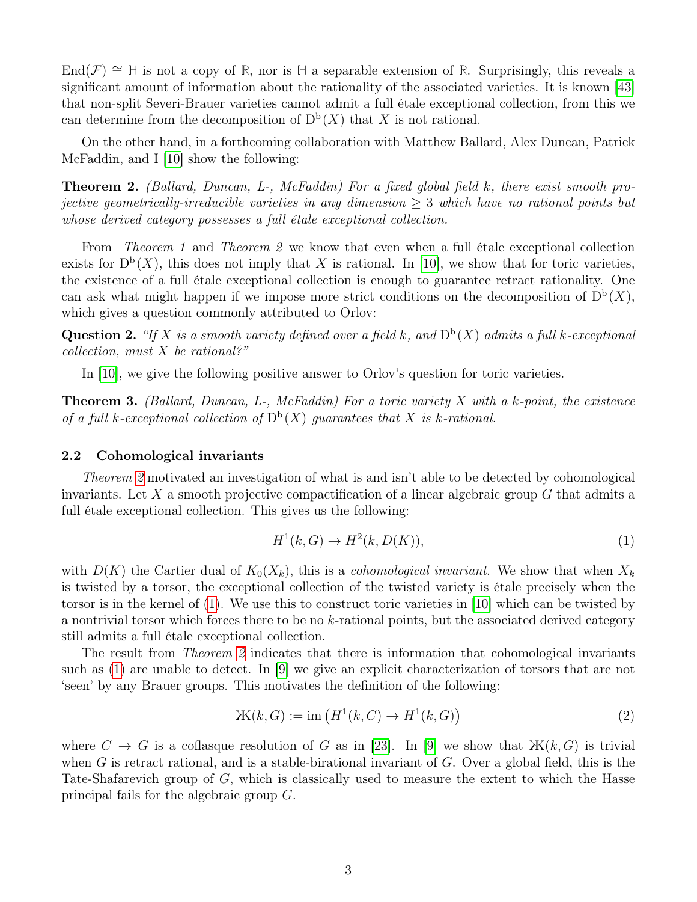End( $\mathcal{F}$ ) ≅  $\mathbb{H}$  is not a copy of  $\mathbb{R}$ , nor is  $\mathbb{H}$  a separable extension of  $\mathbb{R}$ . Surprisingly, this reveals a significant amount of information about the rationality of the associated varieties. It is known [\[43\]](#page-7-0) that non-split Severi-Brauer varieties cannot admit a full étale exceptional collection, from this we can determine from the decomposition of  $D^b(X)$  that X is not rational.

On the other hand, in a forthcoming collaboration with Matthew Ballard, Alex Duncan, Patrick McFaddin, and I [\[10\]](#page-5-5) show the following:

<span id="page-2-0"></span>Theorem 2. (Ballard, Duncan, L-, McFaddin) For a fixed global field k, there exist smooth projective geometrically-irreducible varieties in any dimension ≥ 3 which have no rational points but whose derived category possesses a full étale exceptional collection.

From Theorem 1 and Theorem 2 we know that even when a full étale exceptional collection exists for  $D^b(X)$ , this does not imply that X is rational. In [\[10\]](#page-5-5), we show that for toric varieties, the existence of a full étale exceptional collection is enough to guarantee retract rationality. One can ask what might happen if we impose more strict conditions on the decomposition of  $D^b(X)$ , which gives a question commonly attributed to Orlov:

**Question 2.** "If X is a smooth variety defined over a field k, and  $D<sup>b</sup>(X)$  admits a full k-exceptional  $\text{collection}, \text{ must } X \text{ be rational?}$ 

In [\[10\]](#page-5-5), we give the following positive answer to Orlov's question for toric varieties.

**Theorem 3.** (Ballard, Duncan, L-, McFaddin) For a toric variety X with a k-point, the existence of a full k-exceptional collection of  $D^b(X)$  guarantees that X is k-rational.

#### 2.2 Cohomological invariants

Theorem [2](#page-2-0) motivated an investigation of what is and isn't able to be detected by cohomological invariants. Let  $X$  a smooth projective compactification of a linear algebraic group  $G$  that admits a full étale exceptional collection. This gives us the following:

<span id="page-2-1"></span>
$$
H1(k, G) \to H2(k, D(K)),
$$
\n(1)

with  $D(K)$  the Cartier dual of  $K_0(X_k)$ , this is a *cohomological invariant*. We show that when  $X_k$ is twisted by a torsor, the exceptional collection of the twisted variety is étale precisely when the torsor is in the kernel of [\(1\)](#page-2-1). We use this to construct toric varieties in [\[10\]](#page-5-5) which can be twisted by a nontrivial torsor which forces there to be no k-rational points, but the associated derived category still admits a full étale exceptional collection.

The result from *Theorem [2](#page-2-0)* indicates that there is information that cohomological invariants such as [\(1\)](#page-2-1) are unable to detect. In [\[9\]](#page-5-6) we give an explicit characterization of torsors that are not 'seen' by any Brauer groups. This motivates the definition of the following:

$$
W(k, G) := \text{im} \left( H^1(k, C) \to H^1(k, G) \right) \tag{2}
$$

where  $C \to G$  is a coflasque resolution of G as in [\[23\]](#page-6-1). In [\[9\]](#page-5-6) we show that  $\mathbb{X}(k, G)$  is trivial when G is retract rational, and is a stable-birational invariant of G. Over a global field, this is the Tate-Shafarevich group of G, which is classically used to measure the extent to which the Hasse principal fails for the algebraic group G.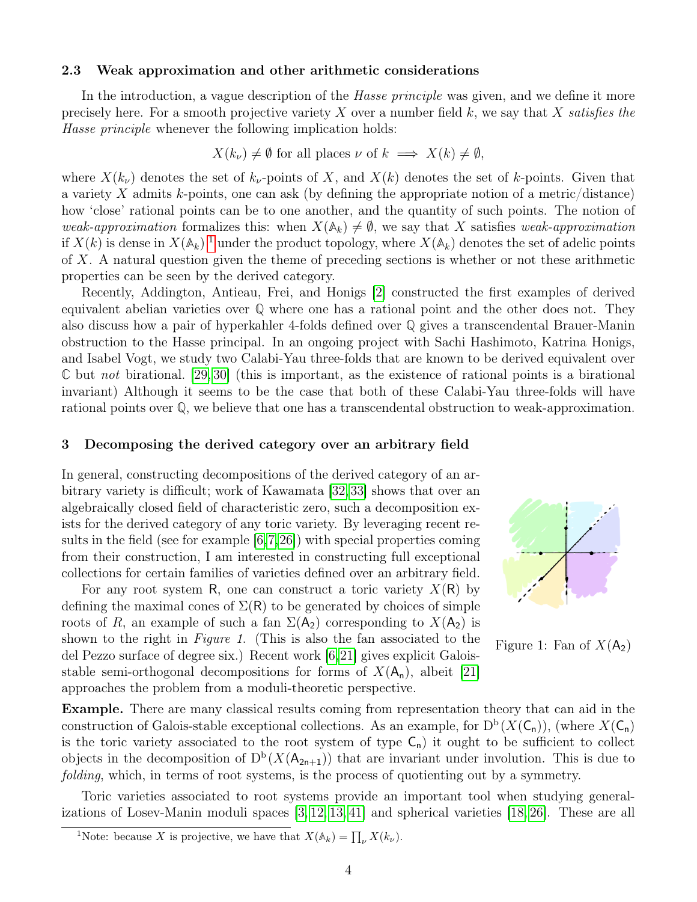#### 2.3 Weak approximation and other arithmetic considerations

In the introduction, a vague description of the *Hasse principle* was given, and we define it more precisely here. For a smooth projective variety X over a number field  $k$ , we say that X satisfies the Hasse principle whenever the following implication holds:

$$
X(k_{\nu}) \neq \emptyset
$$
 for all places  $\nu$  of  $k \implies X(k) \neq \emptyset$ ,

where  $X(k_{\nu})$  denotes the set of  $k_{\nu}$ -points of X, and  $X(k)$  denotes the set of k-points. Given that a variety X admits k-points, one can ask (by defining the appropriate notion of a metric/distance) how 'close' rational points can be to one another, and the quantity of such points. The notion of weak-approximation formalizes this: when  $X(\mathbb{A}_k) \neq \emptyset$ , we say that X satisfies weak-approximation if  $X(k)$  is dense in  $X(\mathbb{A}_k)$ <sup>[1](#page-3-0)</sup> under the product topology, where  $X(\mathbb{A}_k)$  denotes the set of adelic points of X. A natural question given the theme of preceding sections is whether or not these arithmetic properties can be seen by the derived category.

Recently, Addington, Antieau, Frei, and Honigs [\[2\]](#page-5-7) constructed the first examples of derived equivalent abelian varieties over **Q** where one has a rational point and the other does not. They also discuss how a pair of hyperkahler 4-folds defined over **Q** gives a transcendental Brauer-Manin obstruction to the Hasse principal. In an ongoing project with Sachi Hashimoto, Katrina Honigs, and Isabel Vogt, we study two Calabi-Yau three-folds that are known to be derived equivalent over **C** but not birational. [\[29,](#page-6-2) [30\]](#page-6-3) (this is important, as the existence of rational points is a birational invariant) Although it seems to be the case that both of these Calabi-Yau three-folds will have rational points over **Q**, we believe that one has a transcendental obstruction to weak-approximation.

#### 3 Decomposing the derived category over an arbitrary field

In general, constructing decompositions of the derived category of an arbitrary variety is difficult; work of Kawamata [\[32,](#page-6-4)[33\]](#page-6-5) shows that over an algebraically closed field of characteristic zero, such a decomposition exists for the derived category of any toric variety. By leveraging recent results in the field (see for example [\[6,](#page-5-1)[7,](#page-5-3)[26\]](#page-6-6)) with special properties coming from their construction, I am interested in constructing full exceptional collections for certain families of varieties defined over an arbitrary field.

For any root system R, one can construct a toric variety  $X(R)$  by defining the maximal cones of  $\Sigma(R)$  to be generated by choices of simple roots of R, an example of such a fan  $\Sigma(A_2)$  corresponding to  $X(A_2)$  is shown to the right in Figure 1. (This is also the fan associated to the del Pezzo surface of degree six.) Recent work [\[6,](#page-5-1)[21\]](#page-6-7) gives explicit Galoisstable semi-orthogonal decompositions for forms of  $X(A_n)$ , albeit [\[21\]](#page-6-7) approaches the problem from a moduli-theoretic perspective.



Figure 1: Fan of  $X(A_2)$ 

Example. There are many classical results coming from representation theory that can aid in the construction of Galois-stable exceptional collections. As an example, for  $D^b(X(\mathsf{C}_n))$ , (where  $X(\mathsf{C}_n)$ ) is the toric variety associated to the root system of type  $C_n$ ) it ought to be sufficient to collect objects in the decomposition of  $D^b(X(A_{2n+1}))$  that are invariant under involution. This is due to folding, which, in terms of root systems, is the process of quotienting out by a symmetry.

Toric varieties associated to root systems provide an important tool when studying generalizations of Losev-Manin moduli spaces [\[3,](#page-5-8) [12,](#page-5-9) [13,](#page-5-10) [41\]](#page-7-3) and spherical varieties [\[18,](#page-6-8) [26\]](#page-6-6). These are all

<span id="page-3-0"></span><sup>&</sup>lt;sup>1</sup>Note: because X is projective, we have that  $X(\mathbb{A}_k) = \prod_{\nu} X(k_{\nu}).$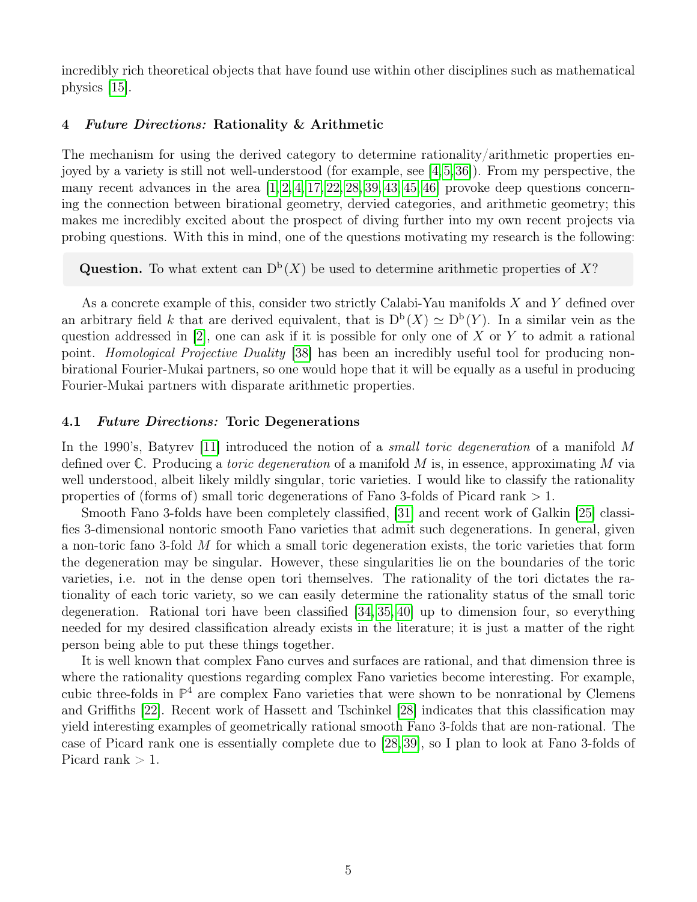incredibly rich theoretical objects that have found use within other disciplines such as mathematical physics [\[15\]](#page-5-11).

## 4 Future Directions: Rationality & Arithmetic

The mechanism for using the derived category to determine rationality/arithmetic properties enjoyed by a variety is still not well-understood (for example, see [\[4,](#page-5-2)[5,](#page-5-12)[36\]](#page-7-4)). From my perspective, the many recent advances in the area  $[1, 2, 4, 17, 22, 28, 39, 43, 45, 46]$  $[1, 2, 4, 17, 22, 28, 39, 43, 45, 46]$  $[1, 2, 4, 17, 22, 28, 39, 43, 45, 46]$  $[1, 2, 4, 17, 22, 28, 39, 43, 45, 46]$  $[1, 2, 4, 17, 22, 28, 39, 43, 45, 46]$  $[1, 2, 4, 17, 22, 28, 39, 43, 45, 46]$  $[1, 2, 4, 17, 22, 28, 39, 43, 45, 46]$  $[1, 2, 4, 17, 22, 28, 39, 43, 45, 46]$  $[1, 2, 4, 17, 22, 28, 39, 43, 45, 46]$  $[1, 2, 4, 17, 22, 28, 39, 43, 45, 46]$  provoke deep questions concerning the connection between birational geometry, dervied categories, and arithmetic geometry; this makes me incredibly excited about the prospect of diving further into my own recent projects via probing questions. With this in mind, one of the questions motivating my research is the following:

**Question.** To what extent can  $D^b(X)$  be used to determine arithmetic properties of X?

As a concrete example of this, consider two strictly Calabi-Yau manifolds X and Y defined over an arbitrary field k that are derived equivalent, that is  $D^b(X) \simeq D^b(Y)$ . In a similar vein as the question addressed in  $[2]$ , one can ask if it is possible for only one of X or Y to admit a rational point. Homological Projective Duality [\[38\]](#page-7-7) has been an incredibly useful tool for producing nonbirational Fourier-Mukai partners, so one would hope that it will be equally as a useful in producing Fourier-Mukai partners with disparate arithmetic properties.

### 4.1 Future Directions: Toric Degenerations

In the 1990's, Batyrev [\[11\]](#page-5-14) introduced the notion of a *small toric degeneration* of a manifold M defined over **C**. Producing a toric degeneration of a manifold M is, in essence, approximating M via well understood, albeit likely mildly singular, toric varieties. I would like to classify the rationality properties of (forms of) small toric degenerations of Fano 3-folds of Picard rank > 1.

Smooth Fano 3-folds have been completely classified, [\[31\]](#page-6-11) and recent work of Galkin [\[25\]](#page-6-12) classifies 3-dimensional nontoric smooth Fano varieties that admit such degenerations. In general, given a non-toric fano 3-fold M for which a small toric degeneration exists, the toric varieties that form the degeneration may be singular. However, these singularities lie on the boundaries of the toric varieties, i.e. not in the dense open tori themselves. The rationality of the tori dictates the rationality of each toric variety, so we can easily determine the rationality status of the small toric degeneration. Rational tori have been classified [\[34,](#page-7-8) [35,](#page-7-9) [40\]](#page-7-10) up to dimension four, so everything needed for my desired classification already exists in the literature; it is just a matter of the right person being able to put these things together.

It is well known that complex Fano curves and surfaces are rational, and that dimension three is where the rationality questions regarding complex Fano varieties become interesting. For example, cubic three-folds in **P** <sup>4</sup> are complex Fano varieties that were shown to be nonrational by Clemens and Griffiths [\[22\]](#page-6-9). Recent work of Hassett and Tschinkel [\[28\]](#page-6-10) indicates that this classification may yield interesting examples of geometrically rational smooth Fano 3-folds that are non-rational. The case of Picard rank one is essentially complete due to [\[28,](#page-6-10) [39\]](#page-7-5), so I plan to look at Fano 3-folds of Picard rank  $> 1$ .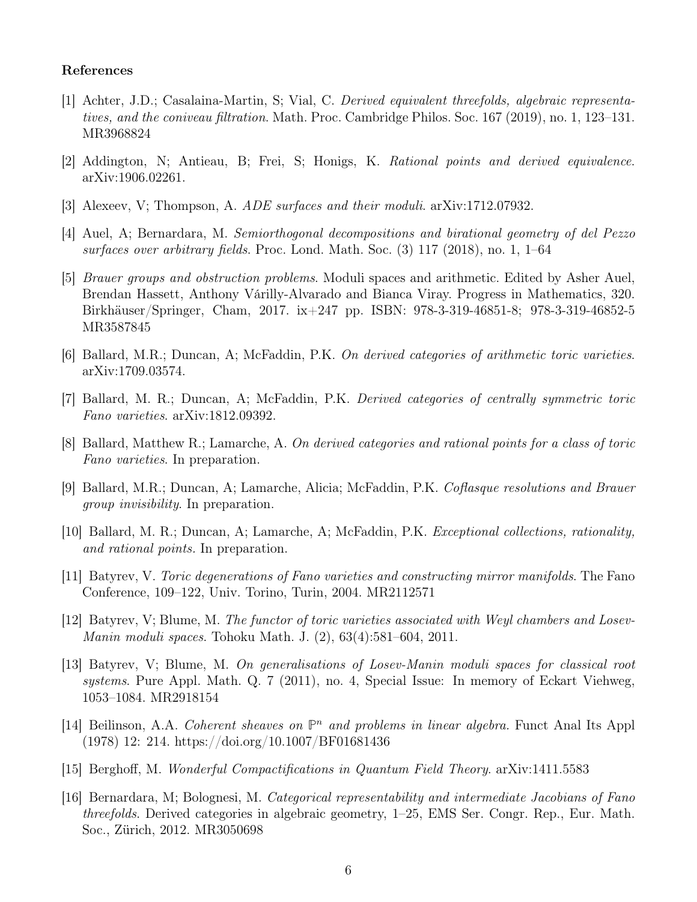## References

- <span id="page-5-13"></span>[1] Achter, J.D.; Casalaina-Martin, S; Vial, C. Derived equivalent threefolds, algebraic representatives, and the coniveau filtration. Math. Proc. Cambridge Philos. Soc. 167 (2019), no. 1, 123–131. MR3968824
- <span id="page-5-7"></span>[2] Addington, N; Antieau, B; Frei, S; Honigs, K. Rational points and derived equivalence. arXiv:1906.02261.
- <span id="page-5-8"></span>[3] Alexeev, V; Thompson, A. ADE surfaces and their moduli. arXiv:1712.07932.
- <span id="page-5-2"></span>[4] Auel, A; Bernardara, M. Semiorthogonal decompositions and birational geometry of del Pezzo surfaces over arbitrary fields. Proc. Lond. Math. Soc. (3) 117 (2018), no. 1, 1–64
- <span id="page-5-12"></span>[5] Brauer groups and obstruction problems. Moduli spaces and arithmetic. Edited by Asher Auel, Brendan Hassett, Anthony Várilly-Alvarado and Bianca Viray. Progress in Mathematics, 320. Birkhäuser/Springer, Cham, 2017. ix+247 pp. ISBN: 978-3-319-46851-8; 978-3-319-46852-5 MR3587845
- <span id="page-5-1"></span>[6] Ballard, M.R.; Duncan, A; McFaddin, P.K. On derived categories of arithmetic toric varieties. arXiv:1709.03574.
- <span id="page-5-3"></span>[7] Ballard, M. R.; Duncan, A; McFaddin, P.K. Derived categories of centrally symmetric toric Fano varieties. arXiv:1812.09392.
- <span id="page-5-4"></span>[8] Ballard, Matthew R.; Lamarche, A. On derived categories and rational points for a class of toric Fano varieties. In preparation.
- <span id="page-5-6"></span>[9] Ballard, M.R.; Duncan, A; Lamarche, Alicia; McFaddin, P.K. Coflasque resolutions and Brauer group invisibility. In preparation.
- <span id="page-5-5"></span>[10] Ballard, M. R.; Duncan, A; Lamarche, A; McFaddin, P.K. Exceptional collections, rationality, and rational points. In preparation.
- <span id="page-5-14"></span>[11] Batyrev, V. Toric degenerations of Fano varieties and constructing mirror manifolds. The Fano Conference, 109–122, Univ. Torino, Turin, 2004. MR2112571
- <span id="page-5-9"></span>[12] Batyrev, V; Blume, M. The functor of toric varieties associated with Weyl chambers and Losev-Manin moduli spaces. Tohoku Math. J. (2), 63(4):581–604, 2011.
- <span id="page-5-10"></span>[13] Batyrev, V; Blume, M. On generalisations of Losev-Manin moduli spaces for classical root systems. Pure Appl. Math. Q. 7 (2011), no. 4, Special Issue: In memory of Eckart Viehweg, 1053–1084. MR2918154
- <span id="page-5-0"></span>[14] Beilinson, A.A. Coherent sheaves on  $\mathbb{P}^n$  and problems in linear algebra. Funct Anal Its Appl (1978) 12: 214. https://doi.org/10.1007/BF01681436
- <span id="page-5-11"></span>[15] Berghoff, M. Wonderful Compactifications in Quantum Field Theory. arXiv:1411.5583
- [16] Bernardara, M; Bolognesi, M. Categorical representability and intermediate Jacobians of Fano threefolds. Derived categories in algebraic geometry, 1–25, EMS Ser. Congr. Rep., Eur. Math. Soc., Zürich, 2012. MR3050698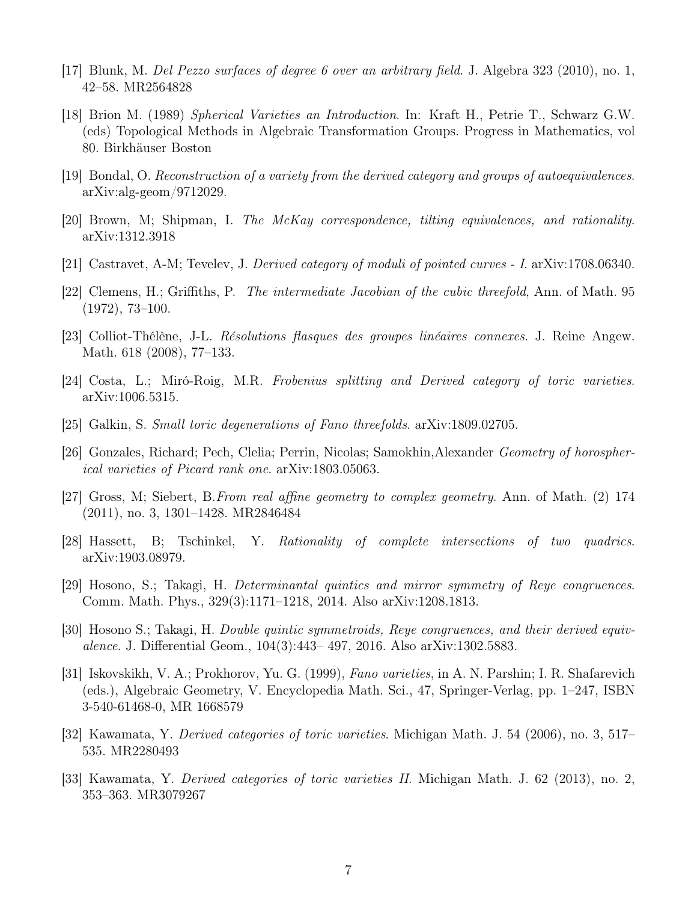- <span id="page-6-0"></span>[17] Blunk, M. Del Pezzo surfaces of degree 6 over an arbitrary field. J. Algebra 323 (2010), no. 1, 42–58. MR2564828
- <span id="page-6-8"></span>[18] Brion M. (1989) Spherical Varieties an Introduction. In: Kraft H., Petrie T., Schwarz G.W. (eds) Topological Methods in Algebraic Transformation Groups. Progress in Mathematics, vol 80. Birkhäuser Boston
- [19] Bondal, O. Reconstruction of a variety from the derived category and groups of autoequivalences. arXiv:alg-geom/9712029.
- [20] Brown, M; Shipman, I. The McKay correspondence, tilting equivalences, and rationality. arXiv:1312.3918
- <span id="page-6-7"></span>[21] Castravet, A-M; Tevelev, J. Derived category of moduli of pointed curves - I. arXiv:1708.06340.
- <span id="page-6-9"></span>[22] Clemens, H.; Griffiths, P. The intermediate Jacobian of the cubic threefold, Ann. of Math. 95 (1972), 73–100.
- <span id="page-6-1"></span>[23] Colliot-Thélène, J-L. Résolutions flasques des groupes linéaires connexes. J. Reine Angew. Math. 618 (2008), 77–133.
- [24] Costa, L.; Miró-Roig, M.R. Frobenius splitting and Derived category of toric varieties. arXiv:1006.5315.
- <span id="page-6-12"></span>[25] Galkin, S. Small toric degenerations of Fano threefolds. arXiv:1809.02705.
- <span id="page-6-6"></span>[26] Gonzales, Richard; Pech, Clelia; Perrin, Nicolas; Samokhin,Alexander Geometry of horospherical varieties of Picard rank one. arXiv:1803.05063.
- [27] Gross, M; Siebert, B.From real affine geometry to complex geometry. Ann. of Math. (2) 174 (2011), no. 3, 1301–1428. MR2846484
- <span id="page-6-10"></span>[28] Hassett, B; Tschinkel, Y. Rationality of complete intersections of two quadrics. arXiv:1903.08979.
- <span id="page-6-2"></span>[29] Hosono, S.; Takagi, H. Determinantal quintics and mirror symmetry of Reye congruences. Comm. Math. Phys., 329(3):1171–1218, 2014. Also arXiv:1208.1813.
- <span id="page-6-3"></span>[30] Hosono S.; Takagi, H. Double quintic symmetroids, Reye congruences, and their derived equivalence. J. Differential Geom., 104(3):443– 497, 2016. Also arXiv:1302.5883.
- <span id="page-6-11"></span>[31] Iskovskikh, V. A.; Prokhorov, Yu. G. (1999), Fano varieties, in A. N. Parshin; I. R. Shafarevich (eds.), Algebraic Geometry, V. Encyclopedia Math. Sci., 47, Springer-Verlag, pp. 1–247, ISBN 3-540-61468-0, MR 1668579
- <span id="page-6-4"></span>[32] Kawamata, Y. Derived categories of toric varieties. Michigan Math. J. 54 (2006), no. 3, 517– 535. MR2280493
- <span id="page-6-5"></span>[33] Kawamata, Y. Derived categories of toric varieties II. Michigan Math. J. 62 (2013), no. 2, 353–363. MR3079267